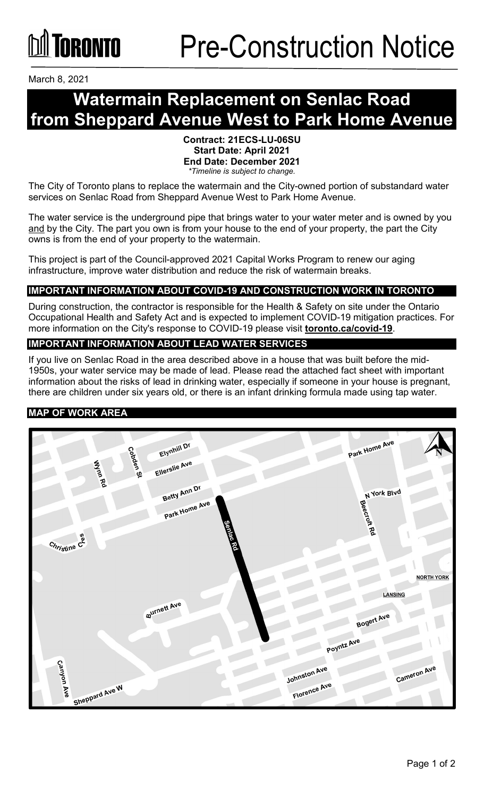March 8, 2021

## **Watermain Replacement on Senlac Road from Sheppard Avenue West to Park Home Avenue**

#### **Contract: 21ECS-LU-06SU Start Date: April 2021 End Date: December 2021** *\*Timeline is subject to change.*

The City of Toronto plans to replace the watermain and the City-owned portion of substandard water services on Senlac Road from Sheppard Avenue West to Park Home Avenue.

The water service is the underground pipe that brings water to your water meter and is owned by you and by the City. The part you own is from your house to the end of your property, the part the City owns is from the end of your property to the watermain.

This project is part of the Council-approved 2021 Capital Works Program to renew our aging infrastructure, improve water distribution and reduce the risk of watermain breaks.

#### **IMPORTANT INFORMATION ABOUT COVID-19 AND CONSTRUCTION WORK IN TORONTO**

During construction, the contractor is responsible for the Health & Safety on site under the Ontario Occupational Health and Safety Act and is expected to implement COVID-19 mitigation practices. For more information on the City's response to COVID-19 please visit **[toronto.ca/covid-19](http://www.toronto.ca/covid-19)**.

#### **IMPORTANT INFORMATION ABOUT LEAD WATER SERVICES**

If you live on Senlac Road in the area described above in a house that was built before the mid-1950s, your water service may be made of lead. Please read the attached fact sheet with important information about the risks of lead in drinking water, especially if someone in your house is pregnant, there are children under six years old, or there is an infant drinking formula made using tap water.

#### **MAP OF WORK AREA**